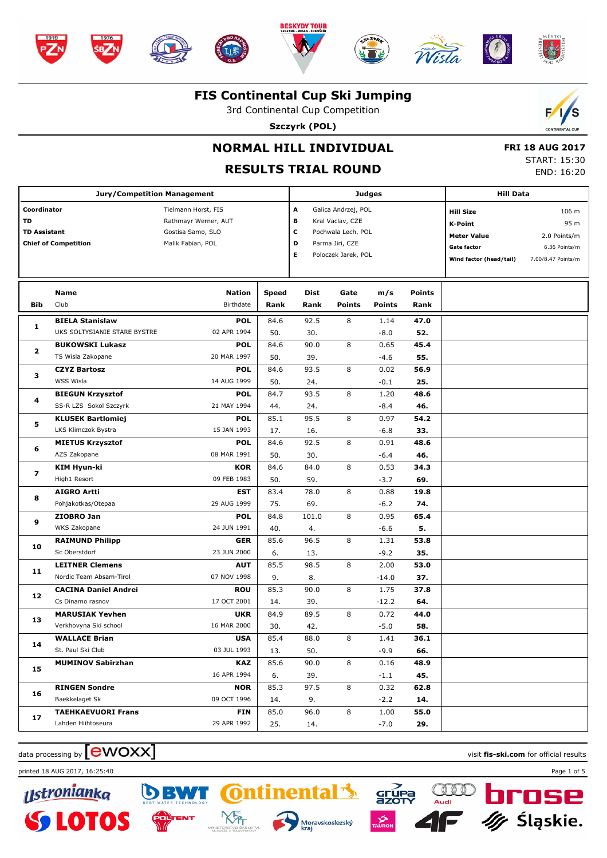







 $\mathscr{E}$ 



#### **FIS Continental Cup Ski Jumping**

3rd Continental Cup Competition

**Szczyrk (POL)**



# **NORMAL HILL INDIVIDUAL**

#### **RESULTS TRIAL ROUND**

 **FRI 18 AUG 2017** START: 15:30 END: 16:20

|                             | <b>Jury/Competition Management</b> |                      |               |                     |               | <b>Judges</b>        |                         | <b>Hill Data</b>   |  |  |
|-----------------------------|------------------------------------|----------------------|---------------|---------------------|---------------|----------------------|-------------------------|--------------------|--|--|
| Coordinator                 |                                    | Tielmann Horst, FIS  | A             | Galica Andrzej, POL |               |                      | <b>Hill Size</b>        | 106 m              |  |  |
| TD                          |                                    | Rathmayr Werner, AUT | в             | Kral Vaclav, CZE    |               |                      | <b>K-Point</b>          | 95 m               |  |  |
| <b>TD Assistant</b>         |                                    | Gostisa Samo, SLO    | с             | Pochwala Lech, POL  |               |                      | <b>Meter Value</b>      | 2.0 Points/m       |  |  |
| <b>Chief of Competition</b> |                                    | Malik Fabian, POL    | D             | Parma Jiri, CZE     |               |                      | <b>Gate factor</b>      | 6.36 Points/m      |  |  |
|                             |                                    |                      | Е             | Poloczek Jarek, POL |               |                      | Wind factor (head/tail) | 7.00/8.47 Points/m |  |  |
|                             |                                    |                      |               |                     |               |                      |                         |                    |  |  |
|                             | Name                               | <b>Nation</b>        |               | Dist                | Gate          |                      | Points                  |                    |  |  |
| Bib                         | Club                               | Birthdate            | Speed<br>Rank | Rank                | <b>Points</b> | m/s<br><b>Points</b> | Rank                    |                    |  |  |
|                             | <b>BIELA Stanislaw</b>             | <b>POL</b>           | 84.6          | 92.5                | 8             | 1.14                 | 47.0                    |                    |  |  |
| 1                           | UKS SOLTYSIANIE STARE BYSTRE       | 02 APR 1994          | 50.           | 30.                 |               | $-8.0$               | 52.                     |                    |  |  |
|                             | <b>BUKOWSKI Lukasz</b>             | <b>POL</b>           | 84.6          | 90.0                | 8             | 0.65                 | 45.4                    |                    |  |  |
| 2                           | TS Wisla Zakopane                  | 20 MAR 1997          | 50.           | 39.                 |               | $-4.6$               | 55.                     |                    |  |  |
|                             | <b>CZYZ Bartosz</b>                | <b>POL</b>           | 84.6          | 93.5                | 8             | 0.02                 | 56.9                    |                    |  |  |
| з                           | WSS Wisla                          | 14 AUG 1999          | 50.           | 24.                 |               | $-0.1$               | 25.                     |                    |  |  |
|                             | <b>BIEGUN Krzysztof</b>            | <b>POL</b>           | 84.7          | 93.5                | 8             | 1.20                 | 48.6                    |                    |  |  |
| 4                           | SS-R LZS Sokol Szczyrk             | 21 MAY 1994          | 44.           | 24.                 |               | $-8.4$               | 46.                     |                    |  |  |
| 5                           | <b>KLUSEK Bartlomiej</b>           | <b>POL</b>           | 85.1          | 95.5                | 8             | 0.97                 | 54.2                    |                    |  |  |
|                             | LKS Klimczok Bystra                | 15 JAN 1993          | 17.           | 16.                 |               | $-6.8$               | 33.                     |                    |  |  |
| 6                           | <b>MIETUS Krzysztof</b>            | <b>POL</b>           | 84.6          | 92.5                | 8             | 0.91                 | 48.6                    |                    |  |  |
|                             | AZS Zakopane                       | 08 MAR 1991          | 50.           | 30.                 |               | $-6.4$               | 46.                     |                    |  |  |
| 7                           | KIM Hyun-ki                        | <b>KOR</b>           | 84.6          | 84.0                | 8             | 0.53                 | 34.3                    |                    |  |  |
|                             | High1 Resort                       | 09 FEB 1983          | 50.           | 59.                 |               | $-3.7$               | 69.                     |                    |  |  |
| 8                           | <b>AIGRO Artti</b>                 | <b>EST</b>           | 83.4          | 78.0                | 8             | 0.88                 | 19.8                    |                    |  |  |
|                             | Pohjakotkas/Otepaa                 | 29 AUG 1999          | 75.           | 69.                 |               | $-6.2$               | 74.                     |                    |  |  |
| 9                           | ZIOBRO Jan                         | <b>POL</b>           | 84.8          | 101.0               | 8             | 0.95                 | 65.4                    |                    |  |  |
|                             | WKS Zakopane                       | 24 JUN 1991          | 40.           | 4.                  |               | $-6.6$               | 5.                      |                    |  |  |
| 10                          | <b>RAIMUND Philipp</b>             | <b>GER</b>           | 85.6          | 96.5                | 8             | 1.31                 | 53.8                    |                    |  |  |
|                             | Sc Oberstdorf                      | 23 JUN 2000          | 6.            | 13.                 |               | $-9.2$               | 35.                     |                    |  |  |
| 11                          | <b>LEITNER Clemens</b>             | <b>AUT</b>           | 85.5          | 98.5                | 8             | 2.00                 | 53.0                    |                    |  |  |
|                             | Nordic Team Absam-Tirol            | 07 NOV 1998          | 9.            | 8.                  |               | $-14.0$              | 37.                     |                    |  |  |
| 12                          | <b>CACINA Daniel Andrei</b>        | <b>ROU</b>           | 85.3          | 90.0                | 8             | 1.75                 | 37.8                    |                    |  |  |
|                             | Cs Dinamo rasnov                   | 17 OCT 2001          | 14.           | 39.                 |               | $-12.2$              | 64.                     |                    |  |  |
| 13                          | <b>MARUSIAK Yevhen</b>             | <b>UKR</b>           | 84.9          | 89.5                | 8             | 0.72                 | 44.0                    |                    |  |  |
|                             | Verkhovyna Ski school              | 16 MAR 2000          | 30.           | 42.                 |               | $-5.0$               | 58.                     |                    |  |  |
| 14                          | <b>WALLACE Brian</b>               | <b>USA</b>           | 85.4          | 88.0                | 8             | 1.41                 | 36.1                    |                    |  |  |
|                             | St. Paul Ski Club                  | 03 JUL 1993          | 13.           | 50.                 |               | $-9.9$               | 66.                     |                    |  |  |
| 15                          | <b>MUMINOV Sabirzhan</b>           | KAZ                  | 85.6          | 90.0                | 8             | 0.16                 | 48.9                    |                    |  |  |
|                             |                                    | 16 APR 1994          | 6.            | 39.                 |               | $-1.1$               | 45.                     |                    |  |  |
| 16                          | <b>RINGEN Sondre</b>               | <b>NOR</b>           | 85.3          | 97.5                | 8             | 0.32                 | 62.8                    |                    |  |  |
|                             | Baekkelaget Sk                     | 09 OCT 1996          | 14.           | 9.                  |               | $-2.2$               | 14.                     |                    |  |  |
| 17                          | <b>TAEHKAEVUORI Frans</b>          | <b>FIN</b>           | 85.0          | 96.0                | 8             | 1.00                 | 55.0                    |                    |  |  |
|                             | Lahden Hiihtoseura                 | 29 APR 1992          | 25.           | 14.                 |               | $-7.0$               | 29.                     |                    |  |  |

**Ontinental** 

Moravskoslezský<br>kraj

**NS** 

 $rac{y}{sqrt{1 - y^2}}$ 

QQ

## $\frac{1}{2}$  data processing by  $\boxed{\text{ewOX}}$

 $\boldsymbol{D}$ 

printed 18 AUG 2017, 16:25:40 Page 1 of 5



П



nse

Śląskie.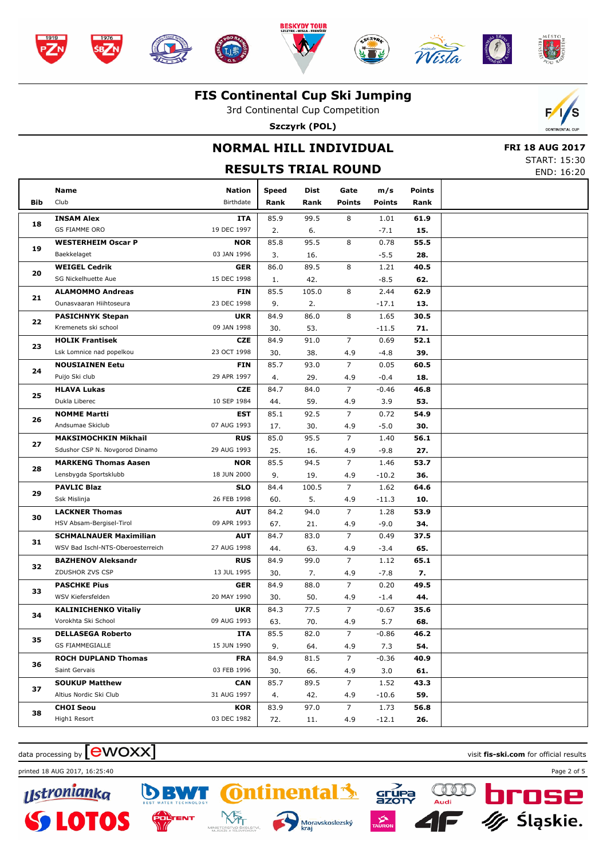





## **FIS Continental Cup Ski Jumping** 3rd Continental Cup Competition

**Szczyrk (POL)**



## **NORMAL HILL INDIVIDUAL**

 **FRI 18 AUG 2017** START: 15:30

#### **RESULTS TRIAL ROUND** END: 16:20 **Bib Name** Club Birthdate **Nation Speed Dist Rank Rank Gate Points m/s Points Points Rank INSAM Alex** GS FIAMME ORO **ITA** 19 DEC 1997 **18** 85.9 99.5 2. 6. 8 -7.1 **61.9 15.** 1.01 **WESTERHEIM Oscar P** Baekkelaget **NOR** 03 JAN 1996 **19** 85.8 95.5 3. 16.  $\overline{R}$ -5.5 **55.5 28.** 0.78 **WEIGEL Cedrik** SG Nickelhuette Aue **GER** 15 DEC 1998 **20** 86.0 89.5 1. 42.  $\overline{8}$ -8.5 **40.5 62.**  $\frac{1.21}{1.21}$ **ALAMOMMO Andreas** Ounasvaaran Hiihtoseura **FIN** 23 DEC 1998 **21** 85.5 105.0 9. 2. 8 -17.1 **62.9 13.** 2.44 **PASICHNYK Stepan** Kremenets ski school **UKR** 09 JAN 1998 **22**  $84.9$   $86.0$ 30. 53.  $\overline{8}$ -11.5 **30.5 71.** 1.65 **HOLIK Frantisek** Lsk Lomnice nad popelkou **CZE** 23 OCT 1998 **23** 84.9 91.0 30. 38. 7 -4.8 **52.1 39.** 0.69 4.9 **NOUSIAINEN Eetu** Puijo Ski club **FIN** 29 APR 1997 **24**  $85.7$  93.0 4. 29. 7 -0.4 **60.5 18.**  $0.05$  4.9 **HLAVA Lukas** Dukla Liberec **CZE** 10 SEP 1984 **25** 84.7 84.0 44. 59. 7 3.9 **46.8 53.**  $-0.46$  4.9 **NOMME Martti** Andsumae Skiclub **EST** 07 AUG 1993 **26** 85.1 92.5 17. 30. 7 -5.0 **54.9 30.**  $0.72$  4.9 **MAKSIMOCHKIN Mikhail** Sdushor CSP N. Novgorod Dinamo **RUS** 29 AUG 1993 **27** 85.0 95.5 25. 16. 7 -9.8 **56.1 27.** 1.40 4.9 **MARKENG Thomas Aasen** Lensbygda Sportsklubb **NOR** 18 JUN 2000 **28**  $85.5$  94.5 9. 19. 7  $-10.2$ **53.7 36.** 1.46 4.9 **PAVLIC Blaz** Ssk Mislinja **SLO** 26 FEB 1998 **29** 84.4 100.5 60. 5. 7  $-11.3$ **64.6 10.** 1.62 4.9 **LACKNER Thomas** HSV Absam-Bergisel-Tirol **AUT** 09 APR 1993 **30** 84.2 94.0 67. 21. 7 -9.0 **53.9 34.** 1.28 4.9 **SCHMALNAUER Maximilian** WSV Bad Ischl-NTS-Oberoesterreich **AUT** 27 AUG 1998 **31**  $84.7$   $83.0$ 44. 63. 7 -3.4 **37.5 65.** 0.49 4.9 **BAZHENOV Aleksandr** ZDUSHOR ZVS CSP **RUS** 13 JUL 1995 **32** 84.9 99.0 30. 7. 7 -7.8 **65.1 7.** 1.12 4.9 **PASCHKE Pius** WSV Kiefersfelden **GER** 20 MAY 1990 **33** 84.9 88.0 30. 50. 7 -1.4 **49.5 44.**  $0.20$  4.9 **KALINICHENKO Vitaliy** Vorokhta Ski School **UKR** 09 AUG 1993 **34** 84.3 77.5 63. 70. 7 5.7 **35.6 68.**  $-0.67$  4.9 **DELLASEGA Roberto GS FIAMMEGIALLE ITA** 15 JUN 1990 **35**  $855$   $820$ 9. 64. 7 7.3 **46.2 54.** -0.86 4.9 **ROCH DUPLAND Thomas** Saint Gervais **FRA** 03 FEB 1996 **36** 84.9 81.5 30. 66. 7 3.0 **40.9 61.**  $-0.36$  4.9 **SOUKUP Matthew** Altius Nordic Ski Club **CAN** 31 AUG 1997 **37** 85.7 89.5 4. 42. 7  $-10.6$ **43.3 59.** 1.52 4.9 **CHOI Seou** High1 Resort **KOR** 03 DEC 1982 **38** 83.9 97.0 72. 11. 7 -12.1 **56.8 26.** 1.73 4.9

**Ontinental** 

Moravskoslezský

XŠ,



nto

printed 18 AUG 2017, 16:25:40 Page 2 of 5

<u> IIstronianka</u>





ISP п

Śląskie.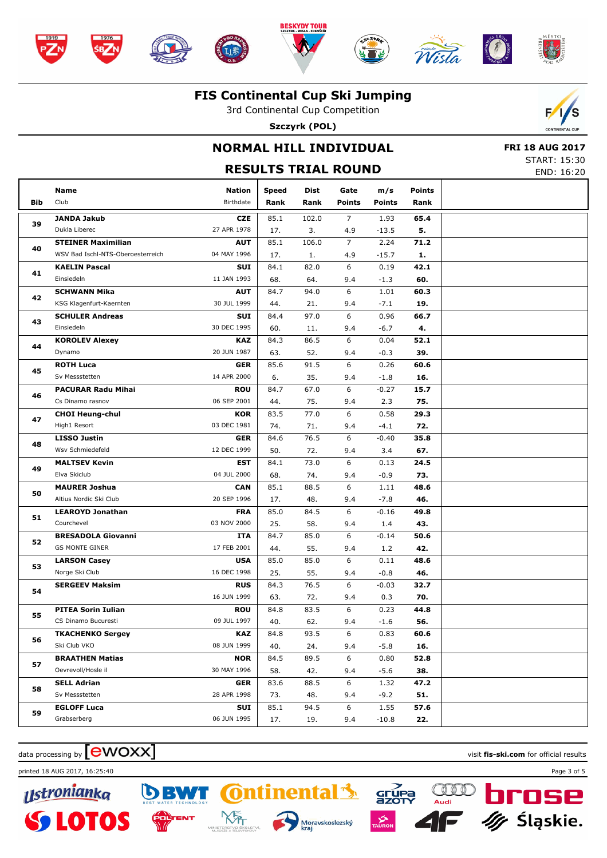

#### **FIS Continental Cup Ski Jumping**

3rd Continental Cup Competition

**Szczyrk (POL)**



## **NORMAL HILL INDIVIDUAL**

 **FRI 18 AUG 2017** START: 15:30

|     |                                   | <b>PIANI, 19.90</b><br>END: 16:20 |               |              |                       |                      |                       |  |
|-----|-----------------------------------|-----------------------------------|---------------|--------------|-----------------------|----------------------|-----------------------|--|
|     | Name                              |                                   |               |              |                       |                      |                       |  |
| Bib | Club                              | <b>Nation</b><br>Birthdate        | Speed<br>Rank | Dist<br>Rank | Gate<br><b>Points</b> | m/s<br><b>Points</b> | <b>Points</b><br>Rank |  |
|     | <b>JANDA Jakub</b>                | <b>CZE</b>                        | 85.1          | 102.0        | $\overline{7}$        | 1.93                 | 65.4                  |  |
| 39  | Dukla Liberec                     | 27 APR 1978                       | 17.           | 3.           | 4.9                   | $-13.5$              | 5.                    |  |
|     | <b>STEINER Maximilian</b>         | <b>AUT</b>                        | 85.1          | 106.0        | $\overline{7}$        | 2.24                 | 71.2                  |  |
| 40  | WSV Bad Ischl-NTS-Oberoesterreich | 04 MAY 1996                       | 17.           | 1.           | 4.9                   | $-15.7$              | 1.                    |  |
| 41  | <b>KAELIN Pascal</b>              | SUI                               | 84.1          | 82.0         | 6                     | 0.19                 | 42.1                  |  |
|     | Einsiedeln                        | 11 JAN 1993                       | 68.           | 64.          | 9.4                   | $-1.3$               | 60.                   |  |
| 42  | <b>SCHWANN Mika</b>               | <b>AUT</b>                        | 84.7          | 94.0         | 6                     | 1.01                 | 60.3                  |  |
|     | KSG Klagenfurt-Kaernten           | 30 JUL 1999                       | 44.           | 21.          | 9.4                   | $-7.1$               | 19.                   |  |
| 43  | <b>SCHULER Andreas</b>            | SUI                               | 84.4          | 97.0         | 6                     | 0.96                 | 66.7                  |  |
|     | Einsiedeln                        | 30 DEC 1995                       | 60.           | 11.          | 9.4                   | $-6.7$               | 4.                    |  |
| 44  | <b>KOROLEV Alexey</b>             | <b>KAZ</b>                        | 84.3          | 86.5         | 6                     | 0.04                 | 52.1                  |  |
|     | Dynamo                            | 20 JUN 1987                       | 63.           | 52.          | 9.4                   | $-0.3$               | 39.                   |  |
| 45  | <b>ROTH Luca</b>                  | <b>GER</b>                        | 85.6          | 91.5         | 6                     | 0.26                 | 60.6                  |  |
|     | Sv Messstetten                    | 14 APR 2000                       | 6.            | 35.          | 9.4                   | $-1.8$               | 16.                   |  |
| 46  | <b>PACURAR Radu Mihai</b>         | <b>ROU</b>                        | 84.7          | 67.0         | 6                     | $-0.27$              | 15.7                  |  |
|     | Cs Dinamo rasnov                  | 06 SEP 2001                       | 44.           | 75.          | 9.4                   | 2.3                  | 75.                   |  |
| 47  | <b>CHOI Heung-chul</b>            | <b>KOR</b>                        | 83.5          | 77.0         | 6                     | 0.58                 | 29.3                  |  |
|     | High1 Resort                      | 03 DEC 1981                       | 74.           | 71.          | 9.4                   | $-4.1$               | 72.                   |  |
| 48  | <b>LISSO Justin</b>               | <b>GER</b>                        | 84.6          | 76.5         | 6                     | $-0.40$              | 35.8                  |  |
|     | Wsv Schmiedefeld                  | 12 DEC 1999                       | 50.           | 72.          | 9.4                   | 3.4                  | 67.                   |  |
| 49  | <b>MALTSEV Kevin</b>              | <b>EST</b>                        | 84.1          | 73.0         | 6                     | 0.13                 | 24.5                  |  |
|     | Elva Skiclub                      | 04 JUL 2000                       | 68.           | 74.          | 9.4                   | $-0.9$               | 73.                   |  |
| 50  | <b>MAURER Joshua</b>              | <b>CAN</b>                        | 85.1          | 88.5         | 6                     | 1.11                 | 48.6                  |  |
|     | Altius Nordic Ski Club            | 20 SEP 1996                       | 17.           | 48.          | 9.4                   | $-7.8$               | 46.                   |  |
| 51  | <b>LEAROYD Jonathan</b>           | <b>FRA</b>                        | 85.0          | 84.5         | 6                     | $-0.16$              | 49.8                  |  |
|     | Courchevel                        | 03 NOV 2000                       | 25.           | 58.          | 9.4                   | 1.4                  | 43.                   |  |
| 52  | <b>BRESADOLA Giovanni</b>         | <b>ITA</b>                        | 84.7          | 85.0         | 6                     | $-0.14$              | 50.6                  |  |
|     | <b>GS MONTE GINER</b>             | 17 FEB 2001                       | 44.           | 55.          | 9.4                   | 1.2                  | 42.                   |  |
| 53  | <b>LARSON Casey</b>               | <b>USA</b>                        | 85.0          | 85.0         | 6                     | 0.11                 | 48.6                  |  |
|     | Norge Ski Club                    | 16 DEC 1998                       | 25.           | 55.          | 9.4                   | $-0.8$               | 46.                   |  |
| 54  | <b>SERGEEV Maksim</b>             | <b>RUS</b>                        | 84.3          | 76.5         | 6                     | $-0.03$              | 32.7                  |  |
|     |                                   | 16 JUN 1999                       | 63.           | 72.          | 9.4                   | 0.3                  | 70.                   |  |
| 55  | <b>PITEA Sorin Iulian</b>         | <b>ROU</b>                        | 84.8          | 83.5         | 6                     | 0.23                 | 44.8                  |  |
|     | CS Dinamo Bucuresti               | 09 JUL 1997                       | 40.           | 62.          | 9.4                   | $-1.6$               | 56.                   |  |
| 56  | <b>TKACHENKO Sergey</b>           | <b>KAZ</b>                        | 84.8          | 93.5         | 6                     | 0.83                 | 60.6                  |  |
|     | Ski Club VKO                      | 08 JUN 1999                       | 40.           | 24.          | 9.4                   | $-5.8$               | 16.                   |  |
| 57  | <b>BRAATHEN Matias</b>            | <b>NOR</b>                        | 84.5          | 89.5         | 6                     | 0.80                 | 52.8                  |  |
|     | Oevrevoll/Hosle il                | 30 MAY 1996                       | 58.           | 42.          | 9.4                   | $-5.6$               | 38.                   |  |
| 58  | <b>SELL Adrian</b>                | <b>GER</b>                        | 83.6          | 88.5         | 6                     | 1.32                 | 47.2                  |  |
|     | Sv Messstetten                    | 28 APR 1998                       | 73.           | 48.          | 9.4                   | $-9.2$               | 51.                   |  |
|     | <b>EGLOFF Luca</b>                | SUI                               | 85.1          | 94.5         | 6                     | 1.55                 | 57.6                  |  |
| 59  | Grabserberg                       | 06 JUN 1995                       | 17.           | 19.          | 9.4                   | $-10.8$              | 22.                   |  |

**Ontinental** 

Moravskoslezský<br>kraj

**NS** 

SE<br>STUPA<br>AZOTY

QII

أأبادا

## $\alpha$  data processing by  $\boxed{\text{ewOX}}$

 $\boldsymbol{D}$ 

printed 18 AUG 2017, 16:25:40 Page 3 of 5

<u>Ustronianka</u> **SS LOTO N** 

n



nse

.≶ląskie خ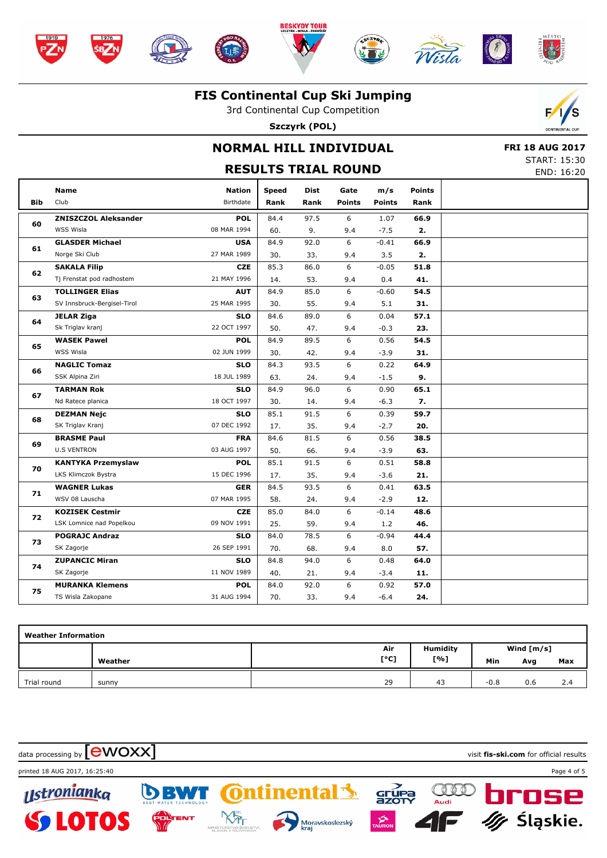





Company of the company of

#### **FIS Continental Cup Ski Jumping**

3rd Continental Cup Competition

**Szczyrk (POL)**



## **NORMAL HILL INDIVIDUAL**

 **FRI 18 AUG 2017** START: 15:30

|            | <b>RESULTS TRIAL ROUND</b>  |                            |               |                     |                       |                      |                |  |  |  |  |  |
|------------|-----------------------------|----------------------------|---------------|---------------------|-----------------------|----------------------|----------------|--|--|--|--|--|
| <b>Bib</b> | <b>Name</b><br>Club         | <b>Nation</b><br>Birthdate | Speed<br>Rank | <b>Dist</b><br>Rank | Gate<br><b>Points</b> | m/s<br><b>Points</b> | Points<br>Rank |  |  |  |  |  |
|            | <b>ZNISZCZOL Aleksander</b> | <b>POL</b>                 | 84.4          | 97.5                | 6                     | 1.07                 | 66.9           |  |  |  |  |  |
| 60         | WSS Wisla                   | 08 MAR 1994                | 60.           | 9.                  | 9.4                   | $-7.5$               | 2.             |  |  |  |  |  |
| 61         | <b>GLASDER Michael</b>      | <b>USA</b>                 | 84.9          | 92.0                | 6                     | $-0.41$              | 66.9           |  |  |  |  |  |
|            | Norge Ski Club              | 27 MAR 1989                | 30.           | 33.                 | 9.4                   | 3.5                  | 2.             |  |  |  |  |  |
|            | <b>SAKALA Filip</b>         | <b>CZE</b>                 | 85.3          | 86.0                | 6                     | $-0.05$              | 51.8           |  |  |  |  |  |
| 62         | Tj Frenstat pod radhostem   | 21 MAY 1996                | 14.           | 53.                 | 9.4                   | 0.4                  | 41.            |  |  |  |  |  |
| 63         | <b>TOLLINGER Elias</b>      | <b>AUT</b>                 | 84.9          | 85.0                | 6                     | $-0.60$              | 54.5           |  |  |  |  |  |
|            | SV Innsbruck-Bergisel-Tirol | 25 MAR 1995                | 30.           | 55.                 | 9.4                   | 5.1                  | 31.            |  |  |  |  |  |
| 64         | <b>JELAR Ziga</b>           | <b>SLO</b>                 | 84.6          | 89.0                | 6                     | 0.04                 | 57.1           |  |  |  |  |  |
|            | Sk Triglav kranj            | 22 OCT 1997                | 50.           | 47.                 | 9.4                   | $-0.3$               | 23.            |  |  |  |  |  |
| 65         | <b>WASEK Pawel</b>          | <b>POL</b>                 | 84.9          | 89.5                | 6                     | 0.56                 | 54.5           |  |  |  |  |  |
|            | WSS Wisla                   | 02 JUN 1999                | 30.           | 42.                 | 9.4                   | $-3.9$               | 31.            |  |  |  |  |  |
|            | <b>NAGLIC Tomaz</b>         | <b>SLO</b>                 | 84.3          | 93.5                | 6                     | 0.22                 | 64.9           |  |  |  |  |  |
| 66         | SSK Alpina Ziri             | 18 JUL 1989                | 63.           | 24.                 | 9.4                   | $-1.5$               | 9.             |  |  |  |  |  |
| 67         | <b>TARMAN Rok</b>           | <b>SLO</b>                 | 84.9          | 96.0                | 6                     | 0.90                 | 65.1           |  |  |  |  |  |
|            | Nd Ratece planica           | 18 OCT 1997                | 30.           | 14.                 | 9.4                   | $-6.3$               | 7.             |  |  |  |  |  |
| 68         | <b>DEZMAN Nejc</b>          | <b>SLO</b>                 | 85.1          | 91.5                | 6                     | 0.39                 | 59.7           |  |  |  |  |  |
|            | SK Triglav Kranj            | 07 DEC 1992                | 17.           | 35.                 | 9.4                   | $-2.7$               | 20.            |  |  |  |  |  |
|            | <b>BRASME Paul</b>          | <b>FRA</b>                 | 84.6          | 81.5                | 6                     | 0.56                 | 38.5           |  |  |  |  |  |
| 69         | <b>U.S VENTRON</b>          | 03 AUG 1997                | 50.           | 66.                 | 9.4                   | $-3.9$               | 63.            |  |  |  |  |  |
| 70         | <b>KANTYKA Przemyslaw</b>   | <b>POL</b>                 | 85.1          | 91.5                | 6                     | 0.51                 | 58.8           |  |  |  |  |  |
|            | LKS Klimczok Bystra         | 15 DEC 1996                | 17.           | 35.                 | 9.4                   | $-3.6$               | 21.            |  |  |  |  |  |
| 71         | <b>WAGNER Lukas</b>         | <b>GER</b>                 | 84.5          | 93.5                | 6                     | 0.41                 | 63.5           |  |  |  |  |  |
|            | WSV 08 Lauscha              | 07 MAR 1995                | 58.           | 24.                 | 9.4                   | $-2.9$               | 12.            |  |  |  |  |  |
| 72         | <b>KOZISEK Cestmir</b>      | <b>CZE</b>                 | 85.0          | 84.0                | 6                     | $-0.14$              | 48.6           |  |  |  |  |  |
|            | LSK Lomnice nad Popelkou    | 09 NOV 1991                | 25.           | 59.                 | 9.4                   | 1.2                  | 46.            |  |  |  |  |  |
| 73         | <b>POGRAJC Andraz</b>       | <b>SLO</b>                 | 84.0          | 78.5                | 6                     | $-0.94$              | 44.4           |  |  |  |  |  |
|            | SK Zagorje                  | 26 SEP 1991                | 70.           | 68.                 | 9.4                   | 8.0                  | 57.            |  |  |  |  |  |
|            | <b>ZUPANCIC Miran</b>       | <b>SLO</b>                 | 84.8          | 94.0                | 6                     | 0.48                 | 64.0           |  |  |  |  |  |
| 74         | SK Zagorje                  | 11 NOV 1989                | 40.           | 21.                 | 9.4                   | $-3.4$               | 11.            |  |  |  |  |  |
|            | <b>MURANKA Klemens</b>      | <b>POL</b>                 | 84.0          | 92.0                | 6                     | 0.92                 | 57.0           |  |  |  |  |  |
| 75         | TS Wisla Zakopane           | 31 AUG 1994                | 70.           | 33.                 | 9.4                   | $-6.4$               | 24.            |  |  |  |  |  |
|            |                             |                            |               |                     |                       |                      |                |  |  |  |  |  |

| <b>Weather Information</b> |         |      |                 |              |     |     |  |  |  |  |  |
|----------------------------|---------|------|-----------------|--------------|-----|-----|--|--|--|--|--|
|                            |         | Air  | <b>Humidity</b> | Wind $[m/s]$ |     |     |  |  |  |  |  |
|                            | Weather | [°C] | [%]             | Min          | Avg | Max |  |  |  |  |  |
| Trial round                | sunny   | 29   | 43              | $-0.8$       | 0.6 | 2.4 |  |  |  |  |  |